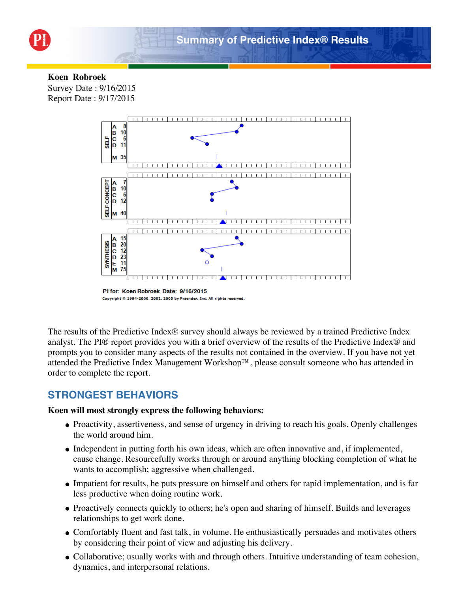

### **Koen Robroek**

Survey Date : 9/16/2015 Report Date : 9/17/2015



Copyright @ 1994-2000, 2002, 2005 by Praendex, Inc. All rights reserved.

The results of the Predictive Index® survey should always be reviewed by a trained Predictive Index analyst. The PI® report provides you with a brief overview of the results of the Predictive Index® and prompts you to consider many aspects of the results not contained in the overview. If you have not yet attended the Predictive Index Management Workshop™, please consult someone who has attended in order to complete the report.

### **STRONGEST BEHAVIORS**

#### **Koen will most strongly express the following behaviors:**

- Proactivity, assertiveness, and sense of urgency in driving to reach his goals. Openly challenges the world around him.
- Independent in putting forth his own ideas, which are often innovative and, if implemented, cause change. Resourcefully works through or around anything blocking completion of what he wants to accomplish; aggressive when challenged.
- Impatient for results, he puts pressure on himself and others for rapid implementation, and is far less productive when doing routine work.
- Proactively connects quickly to others; he's open and sharing of himself. Builds and leverages relationships to get work done.
- Comfortably fluent and fast talk, in volume. He enthusiastically persuades and motivates others by considering their point of view and adjusting his delivery.
- Collaborative; usually works with and through others. Intuitive understanding of team cohesion, dynamics, and interpersonal relations.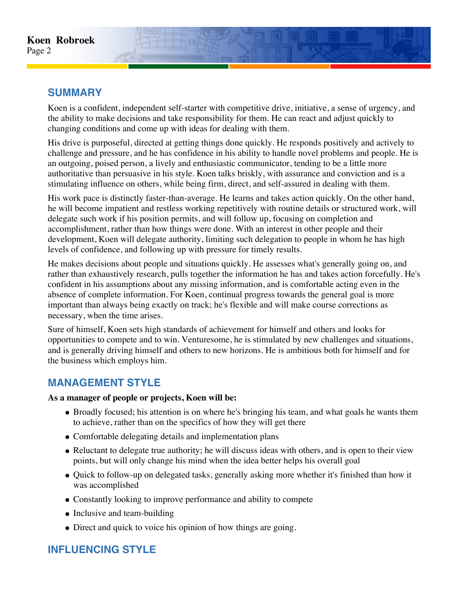## **SUMMARY**

Koen is a confident, independent self-starter with competitive drive, initiative, a sense of urgency, and the ability to make decisions and take responsibility for them. He can react and adjust quickly to changing conditions and come up with ideas for dealing with them.

His drive is purposeful, directed at getting things done quickly. He responds positively and actively to challenge and pressure, and he has confidence in his ability to handle novel problems and people. He is an outgoing, poised person, a lively and enthusiastic communicator, tending to be a little more authoritative than persuasive in his style. Koen talks briskly, with assurance and conviction and is a stimulating influence on others, while being firm, direct, and self-assured in dealing with them.

His work pace is distinctly faster-than-average. He learns and takes action quickly. On the other hand, he will become impatient and restless working repetitively with routine details or structured work, will delegate such work if his position permits, and will follow up, focusing on completion and accomplishment, rather than how things were done. With an interest in other people and their development, Koen will delegate authority, limiting such delegation to people in whom he has high levels of confidence, and following up with pressure for timely results.

He makes decisions about people and situations quickly. He assesses what's generally going on, and rather than exhaustively research, pulls together the information he has and takes action forcefully. He's confident in his assumptions about any missing information, and is comfortable acting even in the absence of complete information. For Koen, continual progress towards the general goal is more important than always being exactly on track; he's flexible and will make course corrections as necessary, when the time arises.

Sure of himself, Koen sets high standards of achievement for himself and others and looks for opportunities to compete and to win. Venturesome, he is stimulated by new challenges and situations, and is generally driving himself and others to new horizons. He is ambitious both for himself and for the business which employs him.

# **MANAGEMENT STYLE**

#### **As a manager of people or projects, Koen will be:**

- Broadly focused; his attention is on where he's bringing his team, and what goals he wants them to achieve, rather than on the specifics of how they will get there
- Comfortable delegating details and implementation plans
- Reluctant to delegate true authority; he will discuss ideas with others, and is open to their view points, but will only change his mind when the idea better helps his overall goal
- Quick to follow-up on delegated tasks, generally asking more whether it's finished than how it was accomplished
- Constantly looking to improve performance and ability to compete
- Inclusive and team-building
- Direct and quick to voice his opinion of how things are going.

# **INFLUENCING STYLE**